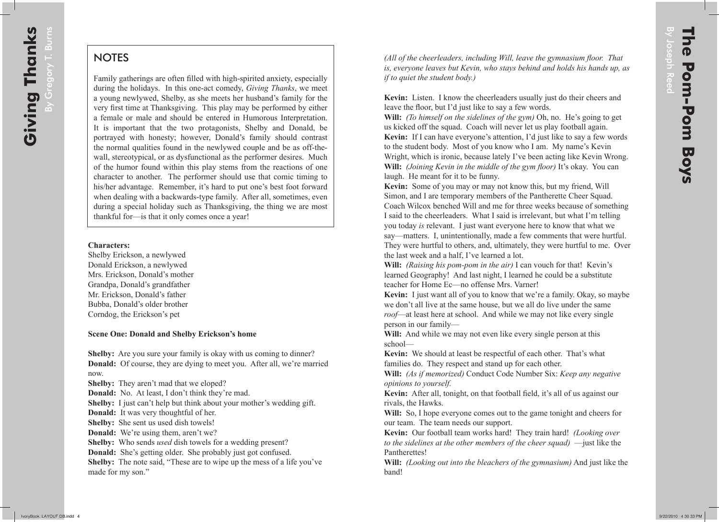# **NOTES**

Family gatherings are often filled with high-spirited anxiety, especially during the holidays. In this one-act comedy, *Giving Thanks*, we meet a young newlywed, Shelby, as she meets her husband's family for the very first time at Thanksgiving. This play may be performed by either a female or male and should be entered in Humorous Interpretation. It is important that the two protagonists, Shelby and Donald, be portrayed with honesty; however, Donald's family should contrast the normal qualities found in the newlywed couple and be as off-thewall, stereotypical, or as dysfunctional as the performer desires. Much of the humor found within this play stems from the reactions of one character to another. The performer should use that comic timing to his/her advantage. Remember, it's hard to put one's best foot forward when dealing with a backwards-type family. After all, sometimes, even during a special holiday such as Thanksgiving, the thing we are most thankful for—is that it only comes once a year!

#### **Characters:**

Shelby Erickson, a newlywed Donald Erickson, a newlywed Mrs. Erickson, Donald's mother Grandpa, Donald's grandfather Mr. Erickson, Donald's father Bubba, Donald's older brother Corndog, the Erickson's pet

### **Scene One: Donald and Shelby Erickson's home**

**Shelby:** Are you sure your family is okay with us coming to dinner? **Donald:** Of course, they are dying to meet you. After all, we're married now.

**Shelby:** They aren't mad that we eloped?

**Donald:** No. At least, I don't think they're mad.

**Shelby:** I just can't help but think about your mother's wedding gift.

**Donald:** It was very thoughtful of her.

**Shelby:** She sent us used dish towels!

**Donald:** We're using them, aren't we?

**Shelby:** Who sends *used* dish towels for a wedding present?

**Donald:** She's getting older. She probably just got confused.

**Shelby:** The note said, "These are to wipe up the mess of a life you've made for my son."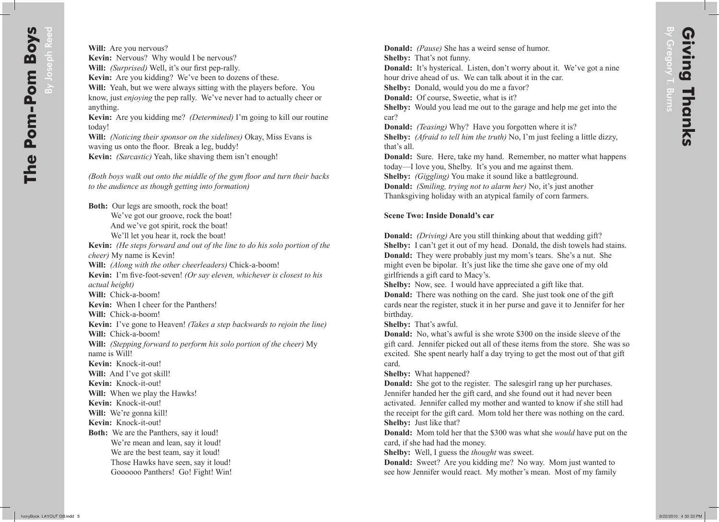**Donald:** *(Pause)* She has a weird sense of humor.

**Shelby:** That's not funny.

**Donald:** It's hysterical. Listen, don't worry about it. We've got a nine hour drive ahead of us. We can talk about it in the car.

**Shelby:** Donald, would you do me a favor?

**Donald:** Of course, Sweetie, what is it?

**Shelby:** Would you lead me out to the garage and help me get into the car?

**Donald:** *(Teasing)* Why? Have you forgotten where it is?

**Shelby:** *(Afraid to tell him the truth)* No, I'm just feeling a little dizzy, that's all.

**Donald:** Sure. Here, take my hand. Remember, no matter what happens today—I love you, Shelby. It's you and me against them.

**Shelby:** *(Giggling)* You make it sound like a battleground.

**Donald:** *(Smiling, trying not to alarm her)* No, it's just another

Thanksgiving holiday with an atypical family of corn farmers.

## **Scene Two: Inside Donald's car**

**Donald:** *(Driving)* Are you still thinking about that wedding gift? **Shelby:** I can't get it out of my head. Donald, the dish towels had stains. **Donald:** They were probably just my mom's tears. She's a nut. She might even be bipolar. It's just like the time she gave one of my old girlfriends a gift card to Macy's.

**Shelby:** Now, see. I would have appreciated a gift like that.

**Donald:** There was nothing on the card. She just took one of the gift cards near the register, stuck it in her purse and gave it to Jennifer for her birthday.

**Shelby:** That's awful.

**Donald:** No, what's awful is she wrote \$300 on the inside sleeve of the gift card. Jennifer picked out all of these items from the store. She was so excited. She spent nearly half a day trying to get the most out of that gift card.

**Shelby:** What happened?

**Donald:** She got to the register. The salesgirl rang up her purchases. Jennifer handed her the gift card, and she found out it had never been activated. Jennifer called my mother and wanted to know if she still had the receipt for the gift card. Mom told her there was nothing on the card. **Shelby:** Just like that?

**Donald:** Mom told her that the \$300 was what she *would* have put on the card, if she had had the money.

**Shelby:** Well, I guess the *thought* was sweet.

**Donald:** Sweet? Are you kidding me? No way. Mom just wanted to see how Jennifer would react. My mother's mean. Most of my family